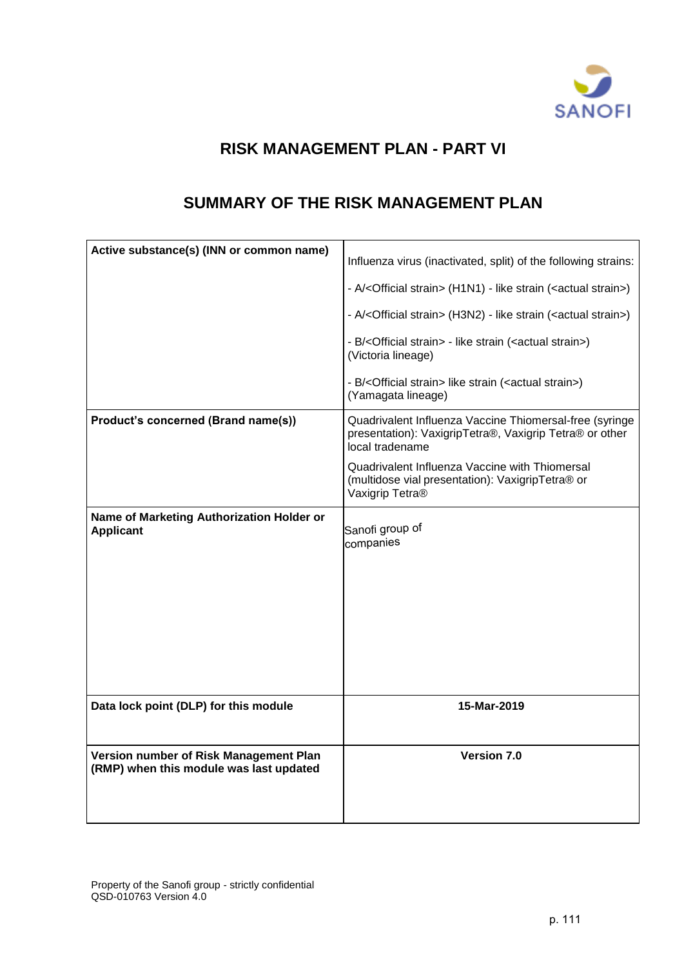

# **RISK MANAGEMENT PLAN - PART VI**

## **SUMMARY OF THE RISK MANAGEMENT PLAN**

<span id="page-0-0"></span>

| Influenza virus (inactivated, split) of the following strains:                                                                        |
|---------------------------------------------------------------------------------------------------------------------------------------|
| - A/ <official strain=""> (H1N1) - like strain (<actual strain="">)</actual></official>                                               |
| - A/ <official strain=""> (H3N2) - like strain (<actual strain="">)</actual></official>                                               |
| - B/ <official strain=""> - like strain (<actual strain="">)<br/>(Victoria lineage)</actual></official>                               |
| - B/ <official strain=""> like strain (<actual strain="">)<br/>(Yamagata lineage)</actual></official>                                 |
| Quadrivalent Influenza Vaccine Thiomersal-free (syringe<br>presentation): VaxigripTetra®, Vaxigrip Tetra® or other<br>local tradename |
| Quadrivalent Influenza Vaccine with Thiomersal<br>(multidose vial presentation): VaxigripTetra® or<br>Vaxigrip Tetra®                 |
|                                                                                                                                       |
| Sanofi group of<br>companies                                                                                                          |
|                                                                                                                                       |
|                                                                                                                                       |
|                                                                                                                                       |
|                                                                                                                                       |
|                                                                                                                                       |
| 15-Mar-2019                                                                                                                           |
| Version 7.0                                                                                                                           |
|                                                                                                                                       |
|                                                                                                                                       |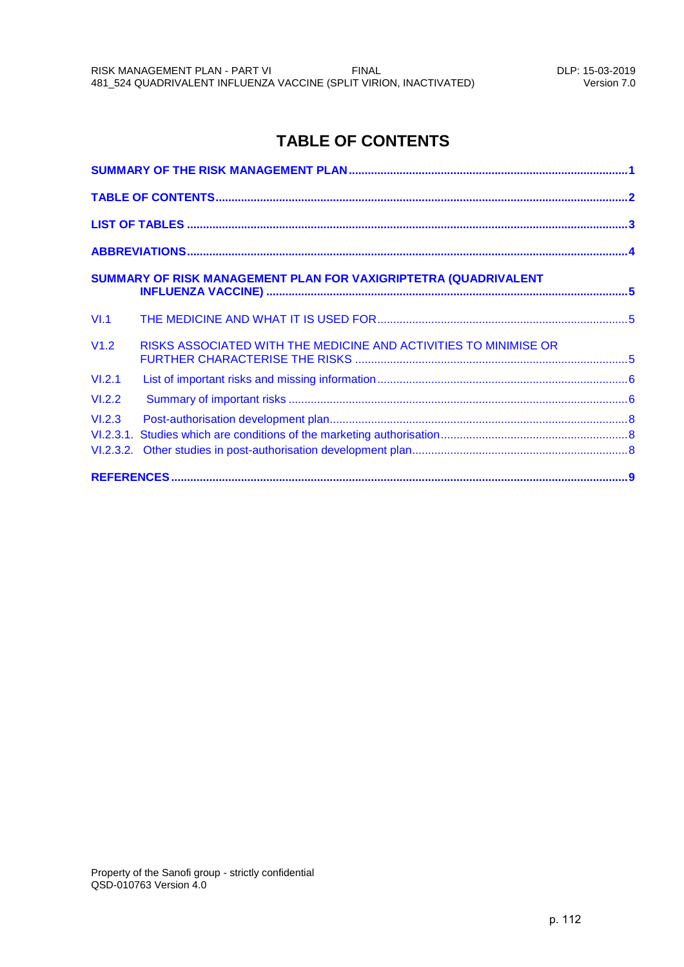## **TABLE OF CONTENTS**

<span id="page-1-0"></span>

|        | SUMMARY OF RISK MANAGEMENT PLAN FOR VAXIGRIPTETRA (QUADRIVALENT  |  |
|--------|------------------------------------------------------------------|--|
| VI.1   |                                                                  |  |
| V1.2   | RISKS ASSOCIATED WITH THE MEDICINE AND ACTIVITIES TO MINIMISE OR |  |
| VI.2.1 |                                                                  |  |
| VI.2.2 |                                                                  |  |
| VI.2.3 |                                                                  |  |
|        |                                                                  |  |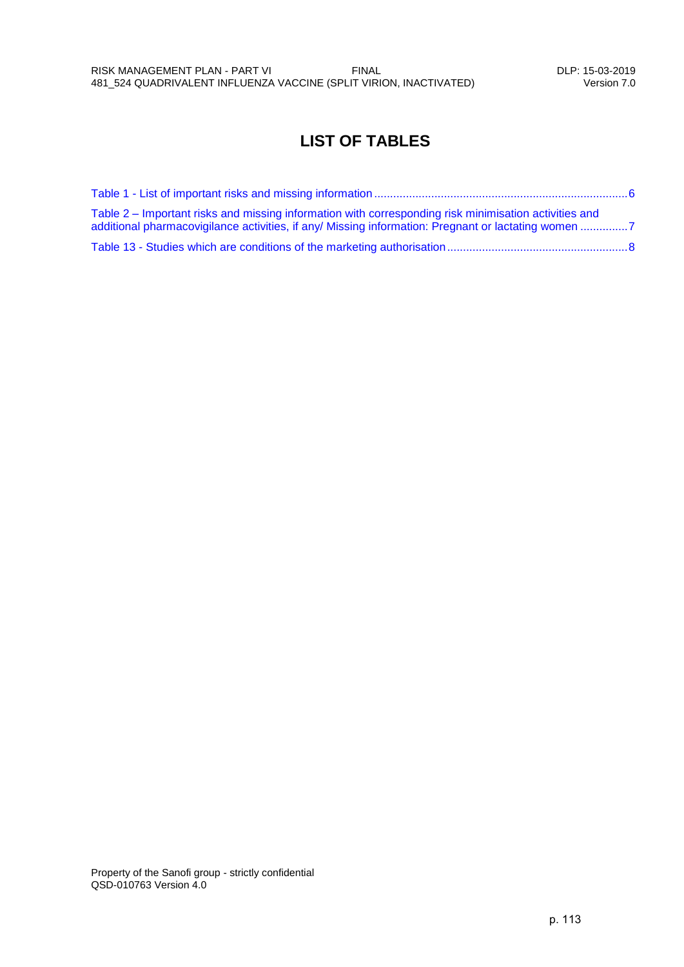## <span id="page-2-0"></span>**LIST OF TABLES**

| Table 2 – Important risks and missing information with corresponding risk minimisation activities and<br>additional pharmacovigilance activities, if any/ Missing information: Pregnant or lactating women 7 |  |
|--------------------------------------------------------------------------------------------------------------------------------------------------------------------------------------------------------------|--|
|                                                                                                                                                                                                              |  |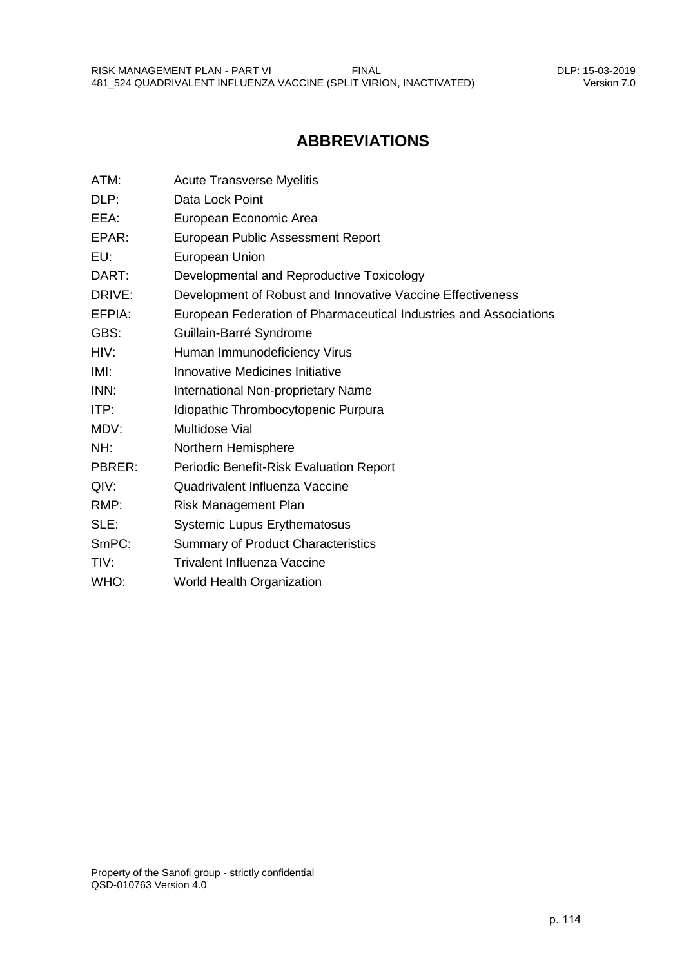## **ABBREVIATIONS**

<span id="page-3-0"></span>

| ATM:   | <b>Acute Transverse Myelitis</b>                                  |
|--------|-------------------------------------------------------------------|
| DLP:   | Data Lock Point                                                   |
| EEA:   | European Economic Area                                            |
| EPAR:  | European Public Assessment Report                                 |
| EU:    | European Union                                                    |
| DART:  | Developmental and Reproductive Toxicology                         |
| DRIVE: | Development of Robust and Innovative Vaccine Effectiveness        |
| EFPIA: | European Federation of Pharmaceutical Industries and Associations |
| GBS:   | Guillain-Barré Syndrome                                           |
| HIV:   | Human Immunodeficiency Virus                                      |
| IMI:   | Innovative Medicines Initiative                                   |
| INN:   | International Non-proprietary Name                                |
| ITP:   | Idiopathic Thrombocytopenic Purpura                               |
| MDV:   | <b>Multidose Vial</b>                                             |
| NH:    | Northern Hemisphere                                               |
| PBRER: | Periodic Benefit-Risk Evaluation Report                           |
| QIV:   | Quadrivalent Influenza Vaccine                                    |
| RMP:   | Risk Management Plan                                              |
| SLE:   | <b>Systemic Lupus Erythematosus</b>                               |
| SmPC:  | <b>Summary of Product Characteristics</b>                         |
| TIV:   | <b>Trivalent Influenza Vaccine</b>                                |
| WHO:   | <b>World Health Organization</b>                                  |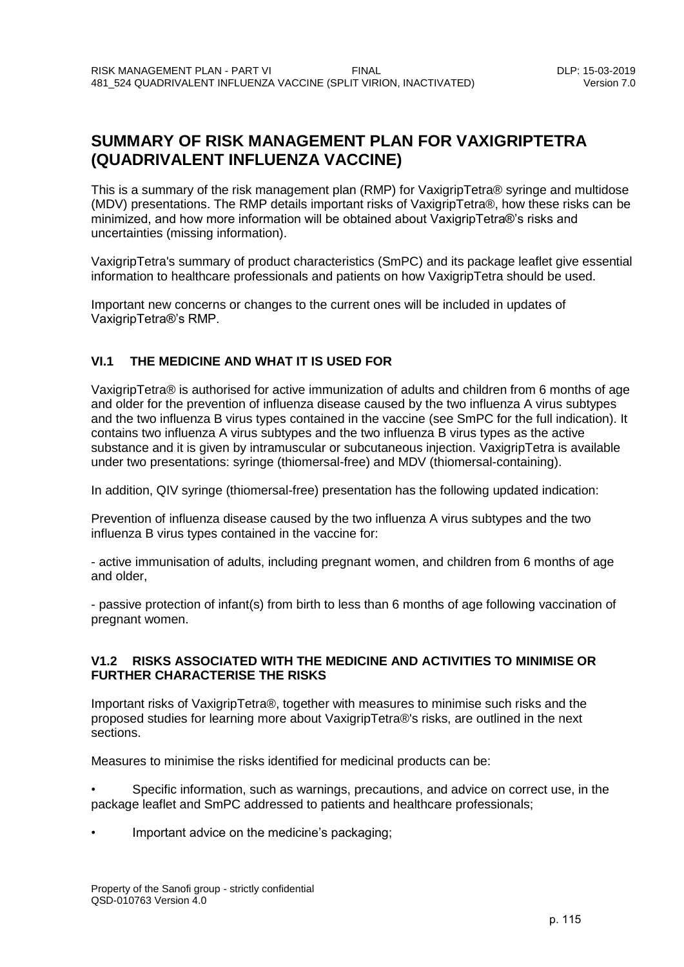## <span id="page-4-0"></span>**SUMMARY OF RISK MANAGEMENT PLAN FOR VAXIGRIPTETRA (QUADRIVALENT INFLUENZA VACCINE)**

This is a summary of the risk management plan (RMP) for VaxigripTetra® syringe and multidose (MDV) presentations. The RMP details important risks of VaxigripTetra®, how these risks can be minimized, and how more information will be obtained about VaxigripTetra®'s risks and uncertainties (missing information).

VaxigripTetra's summary of product characteristics (SmPC) and its package leaflet give essential information to healthcare professionals and patients on how VaxigripTetra should be used.

Important new concerns or changes to the current ones will be included in updates of VaxigripTetra®'s RMP.

### <span id="page-4-1"></span>**VI.1 THE MEDICINE AND WHAT IT IS USED FOR**

VaxigripTetra® is authorised for active immunization of adults and children from 6 months of age and older for the prevention of influenza disease caused by the two influenza A virus subtypes and the two influenza B virus types contained in the vaccine (see SmPC for the full indication). It contains two influenza A virus subtypes and the two influenza B virus types as the active substance and it is given by intramuscular or subcutaneous injection. VaxigripTetra is available under two presentations: syringe (thiomersal-free) and MDV (thiomersal-containing).

In addition, QIV syringe (thiomersal-free) presentation has the following updated indication:

Prevention of influenza disease caused by the two influenza A virus subtypes and the two influenza B virus types contained in the vaccine for:

- active immunisation of adults, including pregnant women, and children from 6 months of age and older,

- passive protection of infant(s) from birth to less than 6 months of age following vaccination of pregnant women.

### <span id="page-4-2"></span>**V1.2 RISKS ASSOCIATED WITH THE MEDICINE AND ACTIVITIES TO MINIMISE OR FURTHER CHARACTERISE THE RISKS**

Important risks of VaxigripTetra®, together with measures to minimise such risks and the proposed studies for learning more about VaxigripTetra®'s risks, are outlined in the next sections.

Measures to minimise the risks identified for medicinal products can be:

• Specific information, such as warnings, precautions, and advice on correct use, in the package leaflet and SmPC addressed to patients and healthcare professionals;

• Important advice on the medicine's packaging;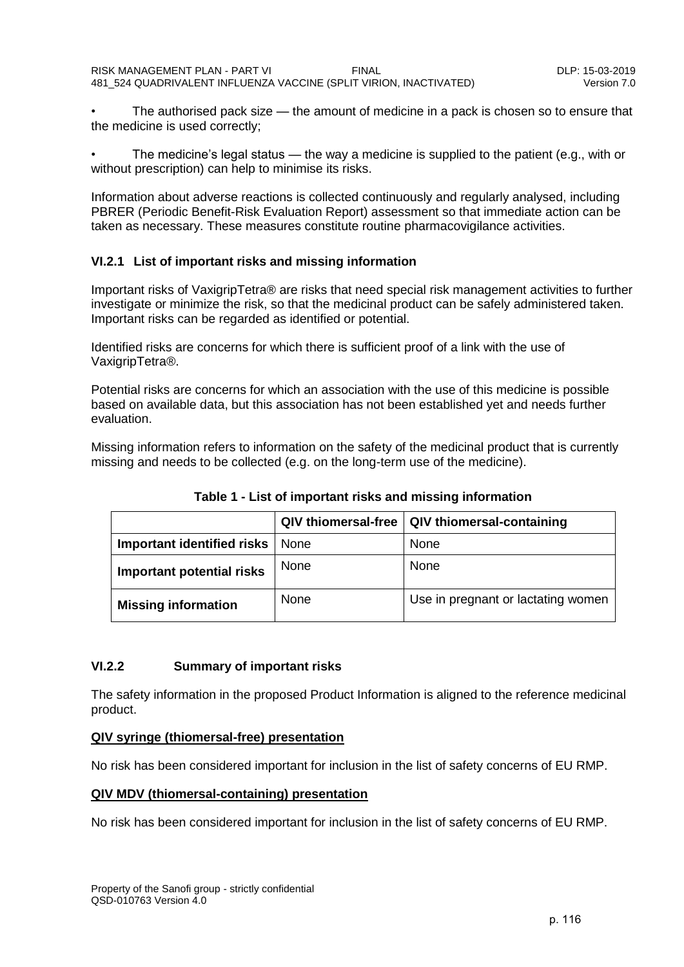• The authorised pack size — the amount of medicine in a pack is chosen so to ensure that the medicine is used correctly;

The medicine's legal status — the way a medicine is supplied to the patient (e.g., with or without prescription) can help to minimise its risks.

Information about adverse reactions is collected continuously and regularly analysed, including PBRER (Periodic Benefit-Risk Evaluation Report) assessment so that immediate action can be taken as necessary. These measures constitute routine pharmacovigilance activities.

### <span id="page-5-0"></span>**VI.2.1 List of important risks and missing information**

Important risks of VaxigripTetra® are risks that need special risk management activities to further investigate or minimize the risk, so that the medicinal product can be safely administered taken. Important risks can be regarded as identified or potential.

Identified risks are concerns for which there is sufficient proof of a link with the use of VaxigripTetra®.

Potential risks are concerns for which an association with the use of this medicine is possible based on available data, but this association has not been established yet and needs further evaluation.

<span id="page-5-2"></span>Missing information refers to information on the safety of the medicinal product that is currently missing and needs to be collected (e.g. on the long-term use of the medicine).

|                                  | <b>QIV thiomersal-free</b> | <b>QIV thiomersal-containing</b>   |
|----------------------------------|----------------------------|------------------------------------|
| Important identified risks       | None                       | None                               |
| <b>Important potential risks</b> | <b>None</b>                | <b>None</b>                        |
| <b>Missing information</b>       | <b>None</b>                | Use in pregnant or lactating women |

**Table 1 - List of important risks and missing information**

## <span id="page-5-1"></span>**VI.2.2 Summary of important risks**

The safety information in the proposed Product Information is aligned to the reference medicinal product.

### **QIV syringe (thiomersal-free) presentation**

No risk has been considered important for inclusion in the list of safety concerns of EU RMP.

### **QIV MDV (thiomersal-containing) presentation**

No risk has been considered important for inclusion in the list of safety concerns of EU RMP.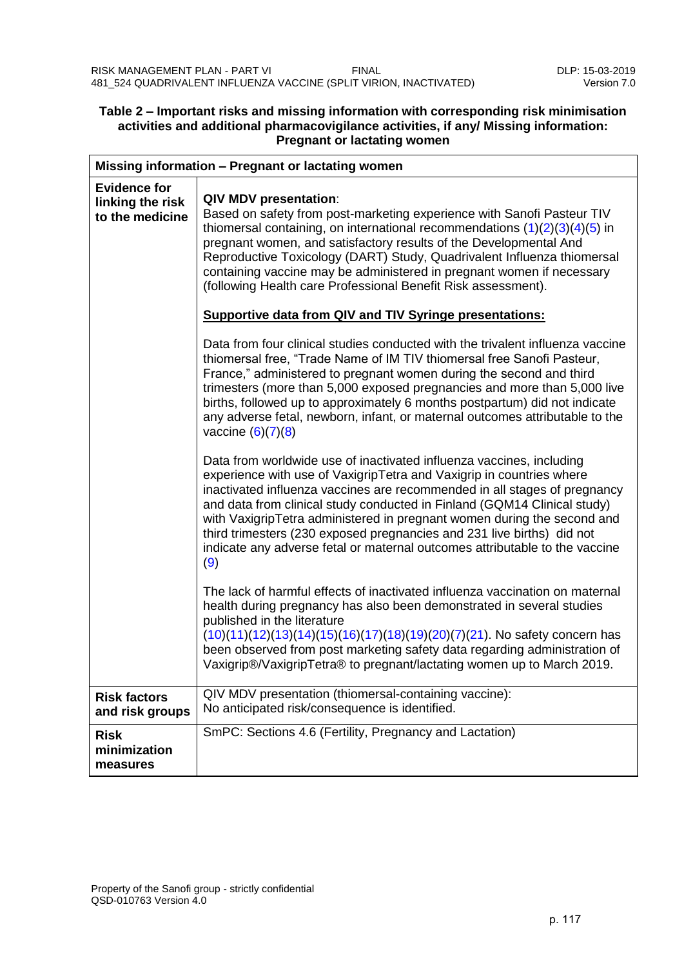### <span id="page-6-0"></span>**Table 2 – Important risks and missing information with corresponding risk minimisation activities and additional pharmacovigilance activities, if any/ Missing information: Pregnant or lactating women**

| Missing information - Pregnant or lactating women          |                                                                                                                                                                                                                                                                                                                                                                                                                                                                                                                                                    |  |  |  |
|------------------------------------------------------------|----------------------------------------------------------------------------------------------------------------------------------------------------------------------------------------------------------------------------------------------------------------------------------------------------------------------------------------------------------------------------------------------------------------------------------------------------------------------------------------------------------------------------------------------------|--|--|--|
| <b>Evidence for</b><br>linking the risk<br>to the medicine | <b>QIV MDV presentation:</b><br>Based on safety from post-marketing experience with Sanofi Pasteur TIV<br>thiomersal containing, on international recommendations $(1)(2)(3)(4)(5)$ in<br>pregnant women, and satisfactory results of the Developmental And<br>Reproductive Toxicology (DART) Study, Quadrivalent Influenza thiomersal<br>containing vaccine may be administered in pregnant women if necessary<br>(following Health care Professional Benefit Risk assessment).<br><b>Supportive data from QIV and TIV Syringe presentations:</b> |  |  |  |
|                                                            | Data from four clinical studies conducted with the trivalent influenza vaccine<br>thiomersal free, "Trade Name of IM TIV thiomersal free Sanofi Pasteur,<br>France," administered to pregnant women during the second and third<br>trimesters (more than 5,000 exposed pregnancies and more than 5,000 live<br>births, followed up to approximately 6 months postpartum) did not indicate<br>any adverse fetal, newborn, infant, or maternal outcomes attributable to the<br>vaccine $(6)(7)(8)$                                                   |  |  |  |
|                                                            | Data from worldwide use of inactivated influenza vaccines, including<br>experience with use of VaxigripTetra and Vaxigrip in countries where<br>inactivated influenza vaccines are recommended in all stages of pregnancy<br>and data from clinical study conducted in Finland (GQM14 Clinical study)<br>with VaxigripTetra administered in pregnant women during the second and<br>third trimesters (230 exposed pregnancies and 231 live births) did not<br>indicate any adverse fetal or maternal outcomes attributable to the vaccine<br>(9)   |  |  |  |
|                                                            | The lack of harmful effects of inactivated influenza vaccination on maternal<br>health during pregnancy has also been demonstrated in several studies<br>published in the literature<br>(10)(11)(12)(13)(14)(15)(16)(17)(18)(19)(20)(7)(21). No safety concern has<br>been observed from post marketing safety data regarding administration of<br>Vaxigrip®/VaxigripTetra® to pregnant/lactating women up to March 2019.                                                                                                                          |  |  |  |
| <b>Risk factors</b><br>and risk groups                     | QIV MDV presentation (thiomersal-containing vaccine):<br>No anticipated risk/consequence is identified.                                                                                                                                                                                                                                                                                                                                                                                                                                            |  |  |  |
| <b>Risk</b><br>minimization<br>measures                    | SmPC: Sections 4.6 (Fertility, Pregnancy and Lactation)                                                                                                                                                                                                                                                                                                                                                                                                                                                                                            |  |  |  |